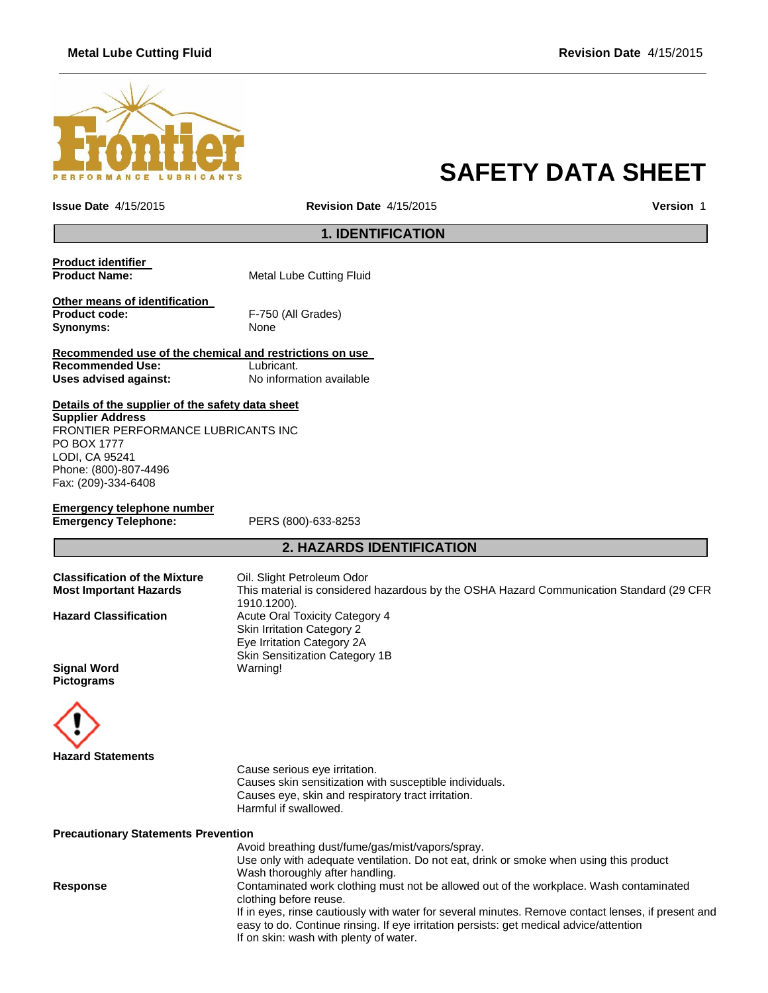## **Metal Lube Cutting Fluid Revision Date** 4/15/2015



# **SAFETY DATA SHEET**

**Issue Date** 4/15/2015 **Revision Date** 4/15/2015 **Version** 1

## **1. IDENTIFICATION**

| Product identifier   |                          |
|----------------------|--------------------------|
| <b>Product Name:</b> | Metal Lube Cutting Fluid |
|                      |                          |

**Other means of identification Product code:** F-750 (All Grades) Synonyms: None

**Recommended use of the chemical and restrictions on use Recommended Use:**<br> **Uses advised against:**<br> **No information available Uses advised against:** 

**Details of the supplier of the safety data sheet Supplier Address**

FRONTIER PERFORMANCE LUBRICANTS INC PO BOX 1777 LODI, CA 95241 Phone: (800)-807-4496 Fax: (209)-334-6408

**Emergency telephone number Emergency Telephone:** PERS (800)-633-8253

## **2. HAZARDS IDENTIFICATION**

| <b>Classification of the Mixture</b> | Oil. Slight Petroleum Odor                                                              |
|--------------------------------------|-----------------------------------------------------------------------------------------|
| <b>Most Important Hazards</b>        | This material is considered hazardous by the OSHA Hazard Communication Standard (29 CFR |
|                                      | 1910.1200).                                                                             |
| <b>Hazard Classification</b>         | <b>Acute Oral Toxicity Category 4</b>                                                   |
|                                      | <b>Skin Irritation Category 2</b>                                                       |
|                                      | Eye Irritation Category 2A                                                              |
|                                      | <b>Skin Sensitization Category 1B</b>                                                   |
| <b>Signal Word</b>                   | Warning!                                                                                |
| <b>Pictograms</b>                    |                                                                                         |
|                                      |                                                                                         |



Cause serious eye irritation. Causes skin sensitization with susceptible individuals. Causes eye, skin and respiratory tract irritation. Harmful if swallowed.

**Precautionary Statements Prevention**

Avoid breathing dust/fume/gas/mist/vapors/spray. Use only with adequate ventilation. Do not eat, drink or smoke when using this product Wash thoroughly after handling. **Response** Contaminated work clothing must not be allowed out of the workplace. Wash contaminated clothing before reuse. If in eyes, rinse cautiously with water for several minutes. Remove contact lenses, if present and easy to do. Continue rinsing. If eye irritation persists: get medical advice/attention If on skin: wash with plenty of water.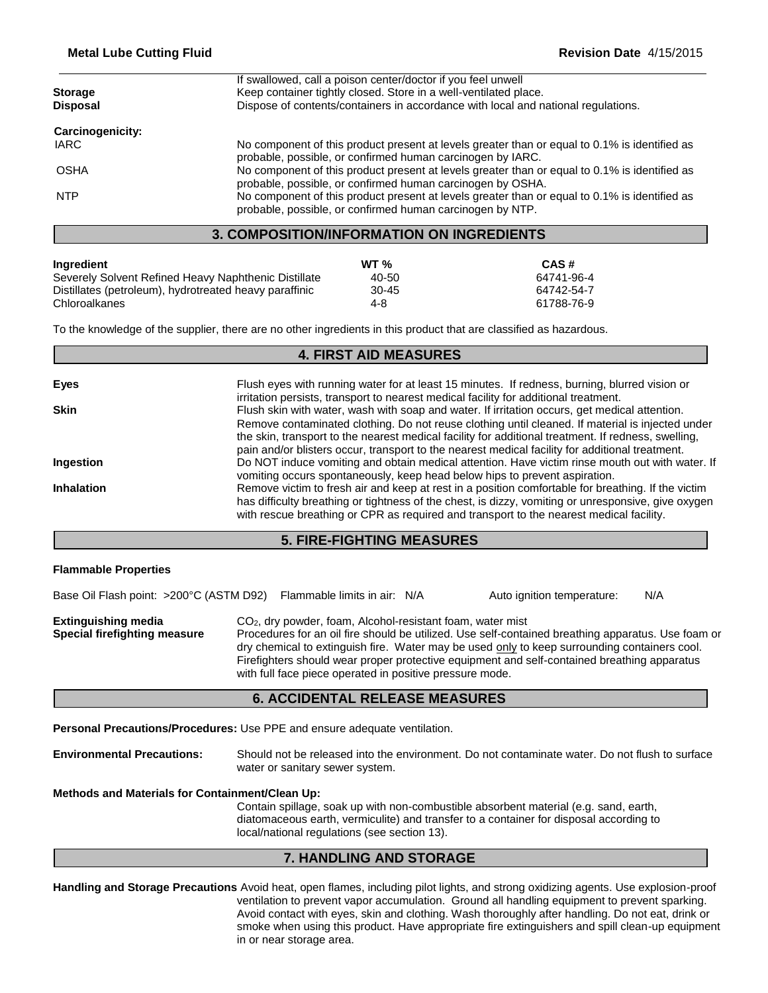| <b>Storage</b>                                   | If swallowed, call a poison center/doctor if you feel unwell<br>Keep container tightly closed. Store in a well-ventilated place.                            |  |
|--------------------------------------------------|-------------------------------------------------------------------------------------------------------------------------------------------------------------|--|
| <b>Disposal</b>                                  | Dispose of contents/containers in accordance with local and national regulations.                                                                           |  |
| Carcinogenicity:                                 |                                                                                                                                                             |  |
| <b>IARC</b>                                      | No component of this product present at levels greater than or equal to 0.1% is identified as<br>probable, possible, or confirmed human carcinogen by IARC. |  |
| <b>OSHA</b>                                      | No component of this product present at levels greater than or equal to 0.1% is identified as<br>probable, possible, or confirmed human carcinogen by OSHA. |  |
| <b>NTP</b>                                       | No component of this product present at levels greater than or equal to 0.1% is identified as<br>probable, possible, or confirmed human carcinogen by NTP.  |  |
| <b>3. COMPOSITION/INFORMATION ON INGREDIENTS</b> |                                                                                                                                                             |  |

| Ingredient                                             | WT $%$ | CAS#       |
|--------------------------------------------------------|--------|------------|
| Severely Solvent Refined Heavy Naphthenic Distillate   | 40-50  | 64741-96-4 |
| Distillates (petroleum), hydrotreated heavy paraffinic | 30-45  | 64742-54-7 |
| Chloroalkanes                                          | 4-8    | 61788-76-9 |

To the knowledge of the supplier, there are no other ingredients in this product that are classified as hazardous.

#### **4. FIRST AID MEASURES**

| Eyes              | Flush eyes with running water for at least 15 minutes. If redness, burning, blurred vision or<br>irritation persists, transport to nearest medical facility for additional treatment.                                                                                                                    |
|-------------------|----------------------------------------------------------------------------------------------------------------------------------------------------------------------------------------------------------------------------------------------------------------------------------------------------------|
| <b>Skin</b>       | Flush skin with water, wash with soap and water. If irritation occurs, get medical attention.<br>Remove contaminated clothing. Do not reuse clothing until cleaned. If material is injected under<br>the skin, transport to the nearest medical facility for additional treatment. If redness, swelling, |
| Ingestion         | pain and/or blisters occur, transport to the nearest medical facility for additional treatment.<br>Do NOT induce vomiting and obtain medical attention. Have victim rinse mouth out with water. If                                                                                                       |
| <b>Inhalation</b> | vomiting occurs spontaneously, keep head below hips to prevent aspiration.<br>Remove victim to fresh air and keep at rest in a position comfortable for breathing. If the victim                                                                                                                         |
|                   | has difficulty breathing or tightness of the chest, is dizzy, vomiting or unresponsive, give oxygen<br>with rescue breathing or CPR as required and transport to the nearest medical facility.                                                                                                           |

## **5. FIRE-FIGHTING MEASURES**

|  | <b>Flammable Properties</b> |
|--|-----------------------------|
|--|-----------------------------|

Base Oil Flash point: >200°C (ASTM D92) Flammable limits in air: N/A Auto ignition temperature: N/A **Extinguishing media** CO<sub>2</sub>, dry powder, foam, Alcohol-resistant foam, water mist **Special firefighting measure** Procedures for an oil fire should be utilized. Use self-contained breathing apparatus. Use foam or dry chemical to extinguish fire. Water may be used only to keep surrounding containers cool. Firefighters should wear proper protective equipment and self-contained breathing apparatus with full face piece operated in positive pressure mode.

#### **6. ACCIDENTAL RELEASE MEASURES**

**Personal Precautions/Procedures:** Use PPE and ensure adequate ventilation.

**Environmental Precautions:** Should not be released into the environment. Do not contaminate water. Do not flush to surface water or sanitary sewer system.

#### **Methods and Materials for Containment/Clean Up:**

Contain spillage, soak up with non-combustible absorbent material (e.g. sand, earth, diatomaceous earth, vermiculite) and transfer to a container for disposal according to local/national regulations (see section 13).

#### **7. HANDLING AND STORAGE**

**Handling and Storage Precautions** Avoid heat, open flames, including pilot lights, and strong oxidizing agents. Use explosion-proof ventilation to prevent vapor accumulation. Ground all handling equipment to prevent sparking. Avoid contact with eyes, skin and clothing. Wash thoroughly after handling. Do not eat, drink or smoke when using this product. Have appropriate fire extinguishers and spill clean-up equipment in or near storage area.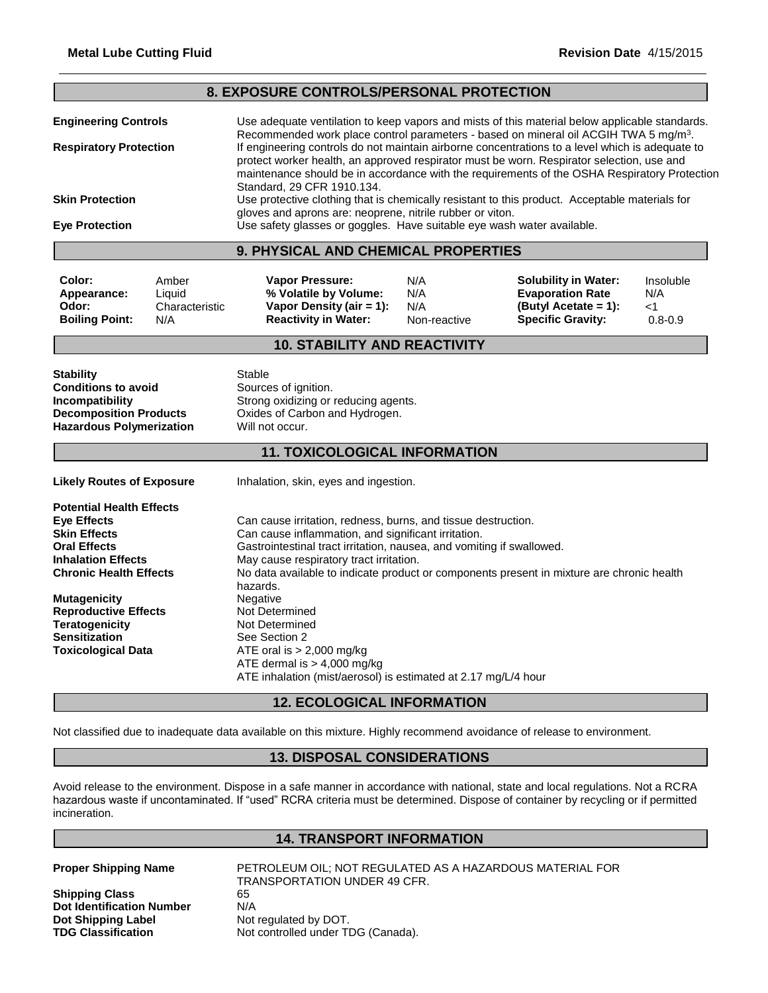| 8. EXPOSURE CONTROLS/PERSONAL PROTECTION                                                                                                                                                                                                                                                                                                                                                                                                                                                                                                                                                                                                                                                                                                                                                                                                                    |                                                                                                                             |                                                                                                                                                                                                                                                                                                                                                                                                                                                                                                                                                                                                                                                                                                 |                                   |                                                                                                            |                                        |
|-------------------------------------------------------------------------------------------------------------------------------------------------------------------------------------------------------------------------------------------------------------------------------------------------------------------------------------------------------------------------------------------------------------------------------------------------------------------------------------------------------------------------------------------------------------------------------------------------------------------------------------------------------------------------------------------------------------------------------------------------------------------------------------------------------------------------------------------------------------|-----------------------------------------------------------------------------------------------------------------------------|-------------------------------------------------------------------------------------------------------------------------------------------------------------------------------------------------------------------------------------------------------------------------------------------------------------------------------------------------------------------------------------------------------------------------------------------------------------------------------------------------------------------------------------------------------------------------------------------------------------------------------------------------------------------------------------------------|-----------------------------------|------------------------------------------------------------------------------------------------------------|----------------------------------------|
| <b>Engineering Controls</b><br><b>Respiratory Protection</b><br><b>Skin Protection</b>                                                                                                                                                                                                                                                                                                                                                                                                                                                                                                                                                                                                                                                                                                                                                                      |                                                                                                                             | Use adequate ventilation to keep vapors and mists of this material below applicable standards.<br>Recommended work place control parameters - based on mineral oil ACGIH TWA 5 mg/m <sup>3</sup> .<br>If engineering controls do not maintain airborne concentrations to a level which is adequate to<br>protect worker health, an approved respirator must be worn. Respirator selection, use and<br>maintenance should be in accordance with the requirements of the OSHA Respiratory Protection<br>Standard, 29 CFR 1910.134.<br>Use protective clothing that is chemically resistant to this product. Acceptable materials for<br>gloves and aprons are: neoprene, nitrile rubber or viton. |                                   |                                                                                                            |                                        |
| <b>Eye Protection</b>                                                                                                                                                                                                                                                                                                                                                                                                                                                                                                                                                                                                                                                                                                                                                                                                                                       |                                                                                                                             | Use safety glasses or goggles. Have suitable eye wash water available.                                                                                                                                                                                                                                                                                                                                                                                                                                                                                                                                                                                                                          |                                   |                                                                                                            |                                        |
|                                                                                                                                                                                                                                                                                                                                                                                                                                                                                                                                                                                                                                                                                                                                                                                                                                                             |                                                                                                                             | 9. PHYSICAL AND CHEMICAL PROPERTIES                                                                                                                                                                                                                                                                                                                                                                                                                                                                                                                                                                                                                                                             |                                   |                                                                                                            |                                        |
| Color:<br>Appearance:<br>Odor:<br><b>Boiling Point:</b>                                                                                                                                                                                                                                                                                                                                                                                                                                                                                                                                                                                                                                                                                                                                                                                                     | Amber<br>Liquid<br>Characteristic<br>N/A                                                                                    | Vapor Pressure:<br>% Volatile by Volume:<br>Vapor Density (air = 1):<br><b>Reactivity in Water:</b>                                                                                                                                                                                                                                                                                                                                                                                                                                                                                                                                                                                             | N/A<br>N/A<br>N/A<br>Non-reactive | <b>Solubility in Water:</b><br><b>Evaporation Rate</b><br>(Butyl Acetate = 1):<br><b>Specific Gravity:</b> | Insoluble<br>N/A<br>< 1<br>$0.8 - 0.9$ |
| <b>10. STABILITY AND REACTIVITY</b>                                                                                                                                                                                                                                                                                                                                                                                                                                                                                                                                                                                                                                                                                                                                                                                                                         |                                                                                                                             |                                                                                                                                                                                                                                                                                                                                                                                                                                                                                                                                                                                                                                                                                                 |                                   |                                                                                                            |                                        |
| <b>Stability</b><br><b>Conditions to avoid</b><br>Incompatibility<br><b>Decomposition Products</b><br><b>Hazardous Polymerization</b>                                                                                                                                                                                                                                                                                                                                                                                                                                                                                                                                                                                                                                                                                                                       | Stable<br>Sources of ignition.<br>Strong oxidizing or reducing agents.<br>Oxides of Carbon and Hydrogen.<br>Will not occur. |                                                                                                                                                                                                                                                                                                                                                                                                                                                                                                                                                                                                                                                                                                 |                                   |                                                                                                            |                                        |
| <b>11. TOXICOLOGICAL INFORMATION</b>                                                                                                                                                                                                                                                                                                                                                                                                                                                                                                                                                                                                                                                                                                                                                                                                                        |                                                                                                                             |                                                                                                                                                                                                                                                                                                                                                                                                                                                                                                                                                                                                                                                                                                 |                                   |                                                                                                            |                                        |
| <b>Likely Routes of Exposure</b>                                                                                                                                                                                                                                                                                                                                                                                                                                                                                                                                                                                                                                                                                                                                                                                                                            |                                                                                                                             | Inhalation, skin, eyes and ingestion.                                                                                                                                                                                                                                                                                                                                                                                                                                                                                                                                                                                                                                                           |                                   |                                                                                                            |                                        |
| <b>Potential Health Effects</b><br><b>Eye Effects</b><br>Can cause irritation, redness, burns, and tissue destruction.<br><b>Skin Effects</b><br>Can cause inflammation, and significant irritation.<br><b>Oral Effects</b><br>Gastrointestinal tract irritation, nausea, and vomiting if swallowed.<br><b>Inhalation Effects</b><br>May cause respiratory tract irritation.<br>No data available to indicate product or components present in mixture are chronic health<br><b>Chronic Health Effects</b><br>hazards.<br>Negative<br><b>Mutagenicity</b><br><b>Reproductive Effects</b><br>Not Determined<br><b>Teratogenicity</b><br>Not Determined<br><b>Sensitization</b><br>See Section 2<br>ATE oral is $> 2,000$ mg/kg<br><b>Toxicological Data</b><br>ATE dermal is > 4,000 mg/kg<br>ATE inhalation (mist/aerosol) is estimated at 2.17 mg/L/4 hour |                                                                                                                             |                                                                                                                                                                                                                                                                                                                                                                                                                                                                                                                                                                                                                                                                                                 |                                   |                                                                                                            |                                        |
|                                                                                                                                                                                                                                                                                                                                                                                                                                                                                                                                                                                                                                                                                                                                                                                                                                                             |                                                                                                                             | <b>12. ECOLOGICAL INFORMATION</b>                                                                                                                                                                                                                                                                                                                                                                                                                                                                                                                                                                                                                                                               |                                   |                                                                                                            |                                        |

Not classified due to inadequate data available on this mixture. Highly recommend avoidance of release to environment.

## **13. DISPOSAL CONSIDERATIONS**

Avoid release to the environment. Dispose in a safe manner in accordance with national, state and local regulations. Not a RCRA hazardous waste if uncontaminated. If "used" RCRA criteria must be determined. Dispose of container by recycling or if permitted incineration.

## **14. TRANSPORT INFORMATION**

**Shipping Class** 65 **Dot Identification Number** N/A **Dot Shipping Label** Not regulated by DOT. **TDG Classification** Not controlled under TDG (Canada).

**Proper Shipping Name** PETROLEUM OIL; NOT REGULATED AS A HAZARDOUS MATERIAL FOR TRANSPORTATION UNDER 49 CFR.